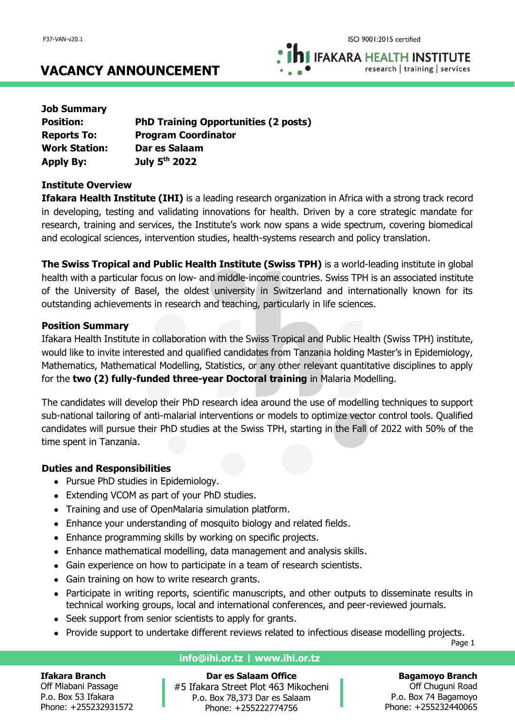**IFAKARA HEALTH INSTITUTE** research | training | services

# **VACANCY ANNOUNCEMENT**

| <b>Job Summary</b>   |                                             |
|----------------------|---------------------------------------------|
| <b>Position:</b>     | <b>PhD Training Opportunities (2 posts)</b> |
| <b>Reports To:</b>   | <b>Program Coordinator</b>                  |
| <b>Work Station:</b> | Dar es Salaam                               |
| <b>Apply By:</b>     | July 5th 2022                               |

### **Institute Overview**

**Ifakara Health Institute (IHI)** is a leading research organization in Africa with a strong track record in developing, testing and validating innovations for health. Driven by a core strategic mandate for research, training and services, the Institute's work now spans a wide spectrum, covering biomedical and ecological sciences, intervention studies, health-systems research and policy translation.

**The Swiss Tropical and Public Health Institute (Swiss TPH)** is a world-leading institute in global health with a particular focus on low- and middle-income countries. Swiss TPH is an associated institute of the University of Basel, the oldest university in Switzerland and internationally known for its outstanding achievements in research and teaching, particularly in life sciences.

## **Position Summary**

Ifakara Health Institute in collaboration with the Swiss Tropical and Public Health (Swiss TPH) institute, would like to invite interested and qualified candidates from Tanzania holding Master's in Epidemiology, Mathematics, Mathematical Modelling, Statistics, or any other relevant quantitative disciplines to apply for the **two (2) fully-funded three-year Doctoral training** in Malaria Modelling.

The candidates will develop their PhD research idea around the use of modelling techniques to support sub-national tailoring of anti-malarial interventions or models to optimize vector control tools. Qualified candidates will pursue their PhD studies at the Swiss TPH, starting in the Fall of 2022 with 50% of the time spent in Tanzania.

## **Duties and Responsibilities**

- Pursue PhD studies in Epidemiology.
- Extending VCOM as part of your PhD studies.
- Training and use of OpenMalaria simulation platform.
- Enhance your understanding of mosquito biology and related fields.
- Enhance programming skills by working on specific projects.
- Enhance mathematical modelling, data management and analysis skills.
- Gain experience on how to participate in a team of research scientists.
- Gain training on how to write research grants.
- Participate in writing reports, scientific manuscripts, and other outputs to disseminate results in technical working groups, local and international conferences, and peer-reviewed journals.
- Seek support from senior scientists to apply for grants.
- Provide support to undertake different reviews related to infectious disease modelling projects.

Page 1

#### **Ifakara Branch**

Off Mlabani Passage P.o. Box 53 Ifakara Phone: +255232931572

## **info@ihi.or.tz | www.ihi.or.tz**

**Dar es Salaam Office** #5 Ifakara Street Plot 463 Mikocheni P.o. Box 78,373 Dar es Salaam Phone: +255222774756

**Bagamoyo Branch** Off Chuguni Road P.o. Box 74 Bagamoyo

Phone: +255232440065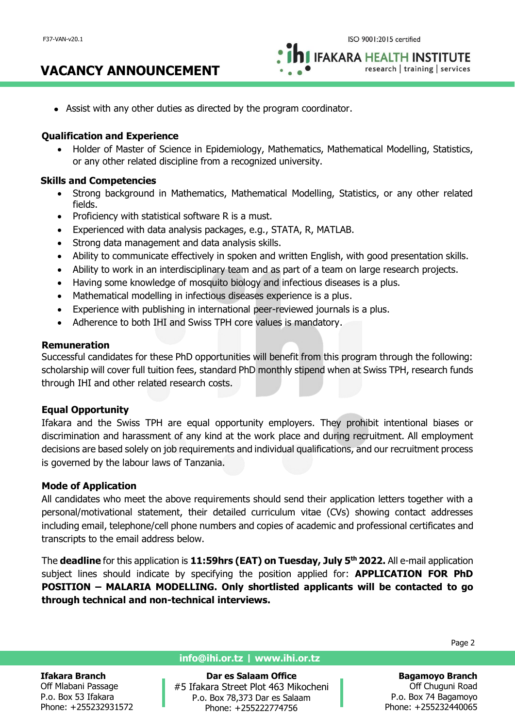# **VACANCY ANNOUNCEMENT**

**IFAKARA HEALTH INSTITUTE** research | training | services

• Assist with any other duties as directed by the program coordinator.

## **Qualification and Experience**

• Holder of Master of Science in Epidemiology, Mathematics, Mathematical Modelling, Statistics, or any other related discipline from a recognized university.

#### **Skills and Competencies**

- Strong background in Mathematics, Mathematical Modelling, Statistics, or any other related fields.
- Proficiency with statistical software R is a must.
- Experienced with data analysis packages, e.g., STATA, R, MATLAB.
- Strong data management and data analysis skills.
- Ability to communicate effectively in spoken and written English, with good presentation skills.
- Ability to work in an interdisciplinary team and as part of a team on large research projects.
- Having some knowledge of mosquito biology and infectious diseases is a plus.
- Mathematical modelling in infectious diseases experience is a plus.
- Experience with publishing in international peer-reviewed journals is a plus.
- Adherence to both IHI and Swiss TPH core values is mandatory.

### **Remuneration**

Successful candidates for these PhD opportunities will benefit from this program through the following: scholarship will cover full tuition fees, standard PhD monthly stipend when at Swiss TPH, research funds through IHI and other related research costs.

## **Equal Opportunity**

Ifakara and the Swiss TPH are equal opportunity employers. They prohibit intentional biases or discrimination and harassment of any kind at the work place and during recruitment. All employment decisions are based solely on job requirements and individual qualifications, and our recruitment process is governed by the labour laws of Tanzania.

#### **Mode of Application**

All candidates who meet the above requirements should send their application letters together with a personal/motivational statement, their detailed curriculum vitae (CVs) showing contact addresses including email, telephone/cell phone numbers and copies of academic and professional certificates and transcripts to the email address below.

The **deadline** for this application is **11:59hrs (EAT) on Tuesday, July 5th 2022.** All e-mail application subject lines should indicate by specifying the position applied for: **APPLICATION FOR PhD POSITION – MALARIA MODELLING. Only shortlisted applicants will be contacted to go through technical and non-technical interviews.** 

Page 2

#### **Ifakara Branch**

Off Mlabani Passage P.o. Box 53 Ifakara Phone: +255232931572

#### **info@ihi.or.tz | www.ihi.or.tz**

**Dar es Salaam Office** #5 Ifakara Street Plot 463 Mikocheni P.o. Box 78,373 Dar es Salaam Phone: +255222774756

**Bagamoyo Branch** Off Chuguni Road P.o. Box 74 Bagamoyo Phone: +255232440065